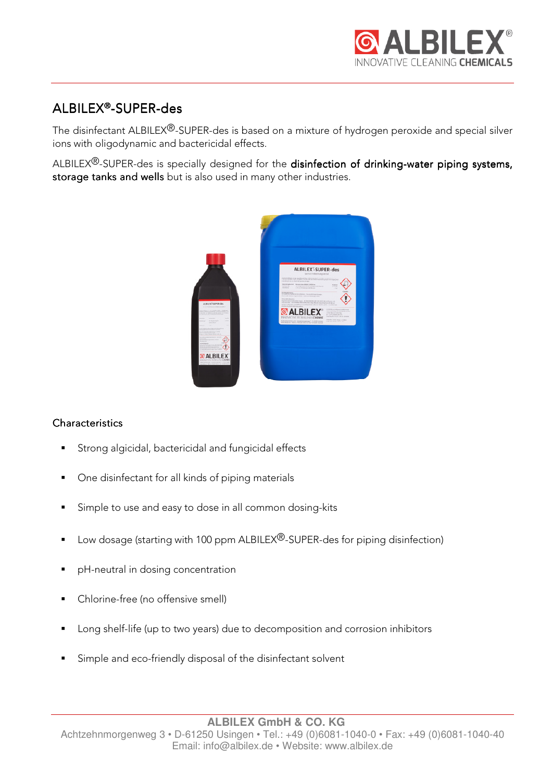

# ALBILEX®-SUPER-des

The disinfectant ALBILEX®-SUPER-des is based on a mixture of hydrogen peroxide and special silver ions with oligodynamic and bactericidal effects.

ALBILEX<sup>®</sup>-SUPER-des is specially designed for the disinfection of drinking-water piping systems, storage tanks and wells but is also used in many other industries.



## **Characteristics**

- Strong algicidal, bactericidal and fungicidal effects
- One disinfectant for all kinds of piping materials
- **Simple to use and easy to dose in all common dosing-kits**
- Low dosage (starting with 100 ppm ALBILEX<sup>®</sup>-SUPER-des for piping disinfection)
- **P** pH-neutral in dosing concentration
- Chlorine-free (no offensive smell)
- **Long shelf-life (up to two years) due to decomposition and corrosion inhibitors**
- Simple and eco-friendly disposal of the disinfectant solvent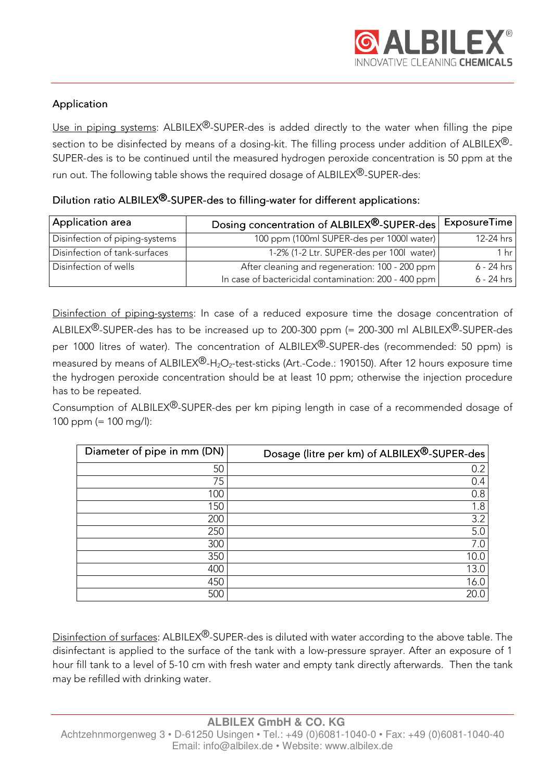## Application

Use in piping systems:  $ALBILEX^{\textcircled{B}}-SUPER-des$  is added directly to the water when filling the pipe section to be disinfected by means of a dosing-kit. The filling process under addition of ALBILEX<sup>®</sup>-SUPER-des is to be continued until the measured hydrogen peroxide concentration is 50 ppm at the run out. The following table shows the required dosage of ALBILEX®-SUPER-des:

## Dilution ratio ALBILEX<sup>®</sup>-SUPER-des to filling-water for different applications:

| Application area               | Dosing concentration of ALBILEX®-SUPER-des           | ExposureTime    |
|--------------------------------|------------------------------------------------------|-----------------|
| Disinfection of piping-systems | 100 ppm (100ml SUPER-des per 1000l water)            | 12-24 hrs       |
| Disinfection of tank-surfaces  | 1-2% (1-2 Ltr. SUPER-des per 100l water)             | 1 <sub>hr</sub> |
| Disinfection of wells          | After cleaning and regeneration: 100 - 200 ppm       | $6 - 24$ hrs    |
|                                | In case of bactericidal contamination: 200 - 400 ppm | $6 - 24$ hrs    |

Disinfection of piping-systems: In case of a reduced exposure time the dosage concentration of ALBILEX<sup>®</sup>-SUPER-des has to be increased up to 200-300 ppm (= 200-300 ml ALBILEX<sup>®</sup>-SUPER-des per 1000 litres of water). The concentration of ALBILEX®-SUPER-des (recommended: 50 ppm) is measured by means of ALBILEX<sup>®</sup>-H<sub>2</sub>O<sub>2</sub>-test-sticks (Art.-Code.: 190150). After 12 hours exposure time the hydrogen peroxide concentration should be at least 10 ppm; otherwise the injection procedure has to be repeated.

Consumption of ALBILEX<sup>®</sup>-SUPER-des per km piping length in case of a recommended dosage of 100 ppm (= 100 mg/l):

| Diameter of pipe in mm (DN) | Dosage (litre per km) of ALBILEX®-SUPER-des |
|-----------------------------|---------------------------------------------|
| 50                          | 0.2                                         |
| 75                          | 0.4                                         |
| 100                         | 0.8                                         |
| 150                         | 1.8                                         |
| 200                         | 3.2                                         |
| 250                         | 5.0                                         |
| 300                         | 7.0                                         |
| 350                         | 10.0                                        |
| 400                         | 13.0                                        |
| 450                         | 16.0                                        |
| 500                         | 20.0                                        |

Disinfection of surfaces: ALBILEX<sup>®</sup>-SUPER-des is diluted with water according to the above table. The disinfectant is applied to the surface of the tank with a low-pressure sprayer. After an exposure of 1 hour fill tank to a level of 5-10 cm with fresh water and empty tank directly afterwards. Then the tank may be refilled with drinking water.